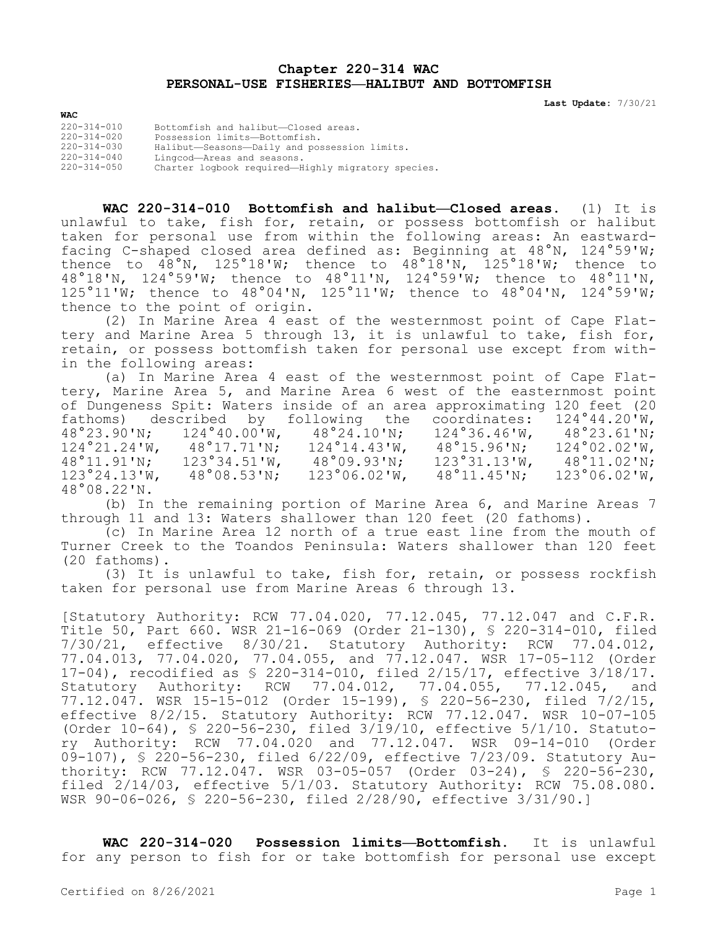## **Chapter 220-314 WAC PERSONAL-USE FISHERIES—HALIBUT AND BOTTOMFISH**

**Last Update:** 7/30/21

| $220 - 314 - 010$ | Bottomfish and halibut-Closed areas.               |
|-------------------|----------------------------------------------------|
| $220 - 314 - 020$ | Possession limits-Bottomfish.                      |
| $220 - 314 - 030$ | Halibut-Seasons-Daily and possession limits.       |
| $220 - 314 - 040$ | Lingcod-Areas and seasons.                         |
| $220 - 314 - 050$ | Charter logbook required-Highly migratory species. |
|                   |                                                    |

**WAC**

**WAC 220-314-010 Bottomfish and halibut—Closed areas.** (1) It is unlawful to take, fish for, retain, or possess bottomfish or halibut taken for personal use from within the following areas: An eastwardfacing C-shaped closed area defined as: Beginning at 48°N, 124°59'W; thence to  $48^\circ$ N, 125°18'W; thence to  $48^\circ 18'$ N, 125°18'W; thence to 48°18'N, 124°59'W; thence to 48°11'N, 124°59'W; thence to 48°11'N,  $125°11'W$ ; thence to  $48°04'N$ ,  $125°11'W$ ; thence to  $48°04'N$ ,  $124°59'W$ ; thence to the point of origin.

(2) In Marine Area 4 east of the westernmost point of Cape Flattery and Marine Area 5 through 13, it is unlawful to take, fish for, retain, or possess bottomfish taken for personal use except from within the following areas:

(a) In Marine Area 4 east of the westernmost point of Cape Flattery, Marine Area 5, and Marine Area 6 west of the easternmost point of Dungeness Spit: Waters inside of an area approximating 120 feet (20<br>fathoms) described by following the coordinates: 124°44.20'W, fathoms) described by following the coordinates:  $124°44.20'W$ ,  $48°23.90'W$ ;  $124°40.00'W$ ,  $48°24.10'W$ ;  $124°36.46'W$ ,  $48°23.61'W$ ; 48°23.90'N; 124°40.00'W, 48°24.10'N; 124°36.46'W, 48°23.61'N; 124°21.24'W, 48°17.71'N; 124°14.43'W, 48°15.96'N; 124°02.02'W, 48°11.91'N; 123°34.51'W, 48°09.93'N; 123°31.13'W, 48°11.02'N; 123°24.13'W, 48°08.53'N; 123°06.02'W, 48°11.45'N; 123°06.02'W, 48°08.22'N.

(b) In the remaining portion of Marine Area 6, and Marine Areas 7 through 11 and 13: Waters shallower than 120 feet (20 fathoms).

(c) In Marine Area 12 north of a true east line from the mouth of Turner Creek to the Toandos Peninsula: Waters shallower than 120 feet (20 fathoms).

(3) It is unlawful to take, fish for, retain, or possess rockfish taken for personal use from Marine Areas 6 through 13.

[Statutory Authority: RCW 77.04.020, 77.12.045, 77.12.047 and C.F.R. Title 50, Part 660. WSR 21-16-069 (Order 21-130), § 220-314-010, filed 7/30/21, effective 8/30/21. Statutory Authority: RCW 77.04.012, 77.04.013, 77.04.020, 77.04.055, and 77.12.047. WSR 17-05-112 (Order 17-04), recodified as \$ 220-314-010, filed 2/15/17, effective 3/18/17.<br>Statutory Authority: RCW 77.04.012, 77.04.055, 77.12.045, and Statutory Authority: RCW 77.04.012, 77.04.055, 77.12.045, and 77.12.047. WSR 15-15-012 (Order 15-199), § 220-56-230, filed 7/2/15, effective 8/2/15. Statutory Authority: RCW 77.12.047. WSR 10-07-105 (Order 10-64), § 220-56-230, filed 3/19/10, effective 5/1/10. Statutory Authority: RCW 77.04.020 and 77.12.047. WSR 09-14-010 (Order 09-107), § 220-56-230, filed 6/22/09, effective 7/23/09. Statutory Authority: RCW 77.12.047. WSR 03-05-057 (Order 03-24), § 220-56-230, filed 2/14/03, effective 5/1/03. Statutory Authority: RCW 75.08.080. WSR 90-06-026, § 220-56-230, filed 2/28/90, effective 3/31/90.]

**WAC 220-314-020 Possession limits—Bottomfish.** It is unlawful for any person to fish for or take bottomfish for personal use except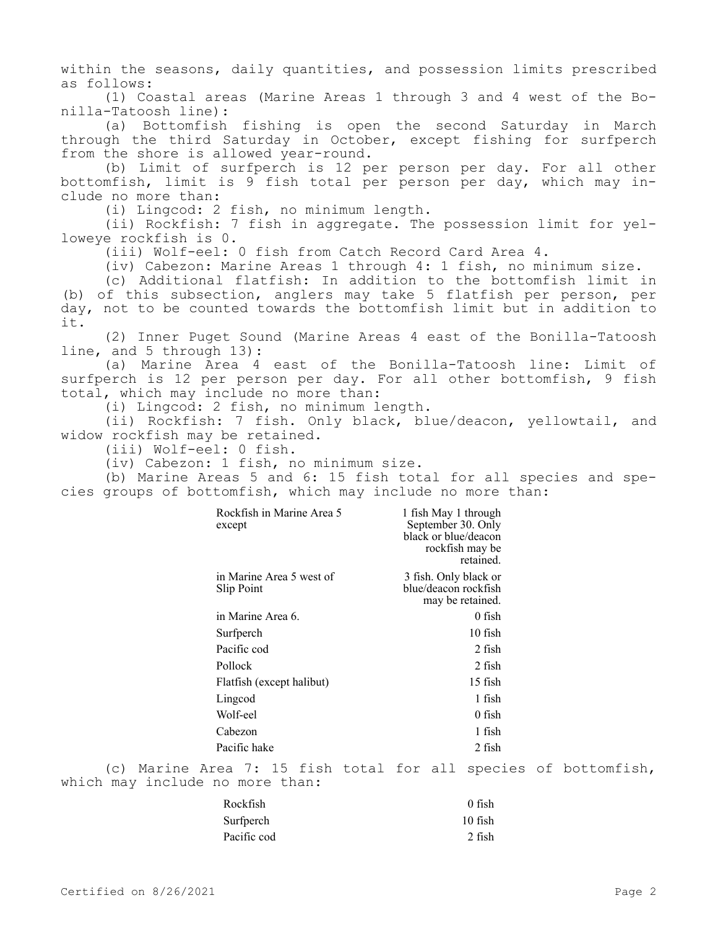within the seasons, daily quantities, and possession limits prescribed as follows:

(1) Coastal areas (Marine Areas 1 through 3 and 4 west of the Bonilla-Tatoosh line):

(a) Bottomfish fishing is open the second Saturday in March through the third Saturday in October, except fishing for surfperch from the shore is allowed year-round.

(b) Limit of surfperch is 12 per person per day. For all other bottomfish, limit is 9 fish total per person per day, which may include no more than:

(i) Lingcod: 2 fish, no minimum length.

(ii) Rockfish: 7 fish in aggregate. The possession limit for yelloweye rockfish is 0.

(iii) Wolf-eel: 0 fish from Catch Record Card Area 4.

(iv) Cabezon: Marine Areas 1 through 4: 1 fish, no minimum size.

(c) Additional flatfish: In addition to the bottomfish limit in (b) of this subsection, anglers may take 5 flatfish per person, per day, not to be counted towards the bottomfish limit but in addition to it.

(2) Inner Puget Sound (Marine Areas 4 east of the Bonilla-Tatoosh line, and 5 through 13):

(a) Marine Area 4 east of the Bonilla-Tatoosh line: Limit of surfperch is 12 per person per day. For all other bottomfish, 9 fish total, which may include no more than:

(i) Lingcod: 2 fish, no minimum length.

(ii) Rockfish: 7 fish. Only black, blue/deacon, yellowtail, and widow rockfish may be retained.

(iii) Wolf-eel: 0 fish.

(iv) Cabezon: 1 fish, no minimum size.

(b) Marine Areas 5 and 6: 15 fish total for all species and species groups of bottomfish, which may include no more than:

| Rockfish in Marine Area 5<br>except    | 1 fish May 1 through<br>September 30. Only<br>black or blue/deacon<br>rockfish may be<br>retained. |
|----------------------------------------|----------------------------------------------------------------------------------------------------|
| in Marine Area 5 west of<br>Slip Point | 3 fish. Only black or<br>blue/deacon rockfish<br>may be retained.                                  |
| in Marine Area 6.                      | 0 fish                                                                                             |
| Surfperch                              | $10$ fish                                                                                          |
| Pacific cod                            | 2 fish                                                                                             |
| Pollock                                | 2 fish                                                                                             |
| Flatfish (except halibut)              | 15 fish                                                                                            |
| Lingcod                                | 1 fish                                                                                             |
| Wolf-eel                               | 0 fish                                                                                             |
| Cabezon                                | 1 fish                                                                                             |
| Pacific hake                           | 2 fish                                                                                             |

(c) Marine Area 7: 15 fish total for all species of bottomfish, which may include no more than:

| Rockfish    | $0$ fish  |
|-------------|-----------|
| Surfperch   | $10$ fish |
| Pacific cod | 2 fish    |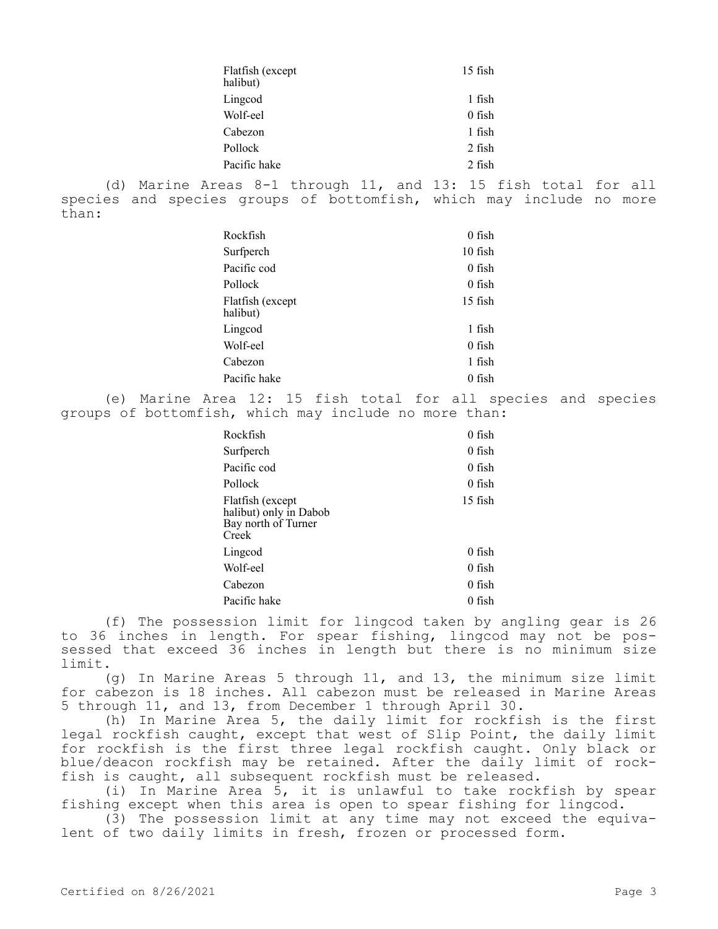|       | Flatfish (except<br>halibut) | $15$ fish                                                                                                                             |  |
|-------|------------------------------|---------------------------------------------------------------------------------------------------------------------------------------|--|
|       | Lingcod                      | 1 fish                                                                                                                                |  |
|       | Wolf-eel                     | $0$ fish                                                                                                                              |  |
|       | Cabezon                      | 1 fish                                                                                                                                |  |
|       | Pollock                      | 2 fish                                                                                                                                |  |
|       | Pacific hake                 | 2 fish                                                                                                                                |  |
| than: |                              | (d) Marine Areas 8-1 through 11, and 13: 15 fish total for all<br>species and species groups of bottomfish, which may include no more |  |
|       | Rockfish                     | $0$ fish                                                                                                                              |  |
|       | Surfperch                    | $10$ fish                                                                                                                             |  |
|       | Pacific cod                  | $0$ fish                                                                                                                              |  |
|       | Pollock                      | $0$ fish                                                                                                                              |  |
|       |                              |                                                                                                                                       |  |

| Flatfish (except<br>halibut) | $15$ fish |
|------------------------------|-----------|
| Lingcod                      | 1 fish    |
| Wolf-eel                     | $0$ fish  |
| Cabezon                      | 1 fish    |
| Pacific hake                 | 0 fish    |

(e) Marine Area 12: 15 fish total for all species and species groups of bottomfish, which may include no more than:

| Rockfish                                                                   | $0$ fish  |
|----------------------------------------------------------------------------|-----------|
| Surfperch                                                                  | $0$ fish  |
| Pacific cod                                                                | $0$ fish  |
| Pollock                                                                    | 0 fish    |
| Flatfish (except<br>halibut) only in Dabob<br>Bay north of Turner<br>Creek | $15$ fish |
| Lingcod                                                                    | $0$ fish  |
| Wolf-eel                                                                   | $0$ fish  |
| Cabezon                                                                    | 0 fish    |
| Pacific hake                                                               | 0 fish    |

(f) The possession limit for lingcod taken by angling gear is 26 to 36 inches in length. For spear fishing, lingcod may not be possessed that exceed 36 inches in length but there is no minimum size limit.

(g) In Marine Areas 5 through 11, and 13, the minimum size limit for cabezon is 18 inches. All cabezon must be released in Marine Areas 5 through 11, and 13, from December 1 through April 30.

(h) In Marine Area 5, the daily limit for rockfish is the first legal rockfish caught, except that west of Slip Point, the daily limit for rockfish is the first three legal rockfish caught. Only black or blue/deacon rockfish may be retained. After the daily limit of rockfish is caught, all subsequent rockfish must be released.

(i) In Marine Area 5, it is unlawful to take rockfish by spear fishing except when this area is open to spear fishing for lingcod.

(3) The possession limit at any time may not exceed the equivalent of two daily limits in fresh, frozen or processed form.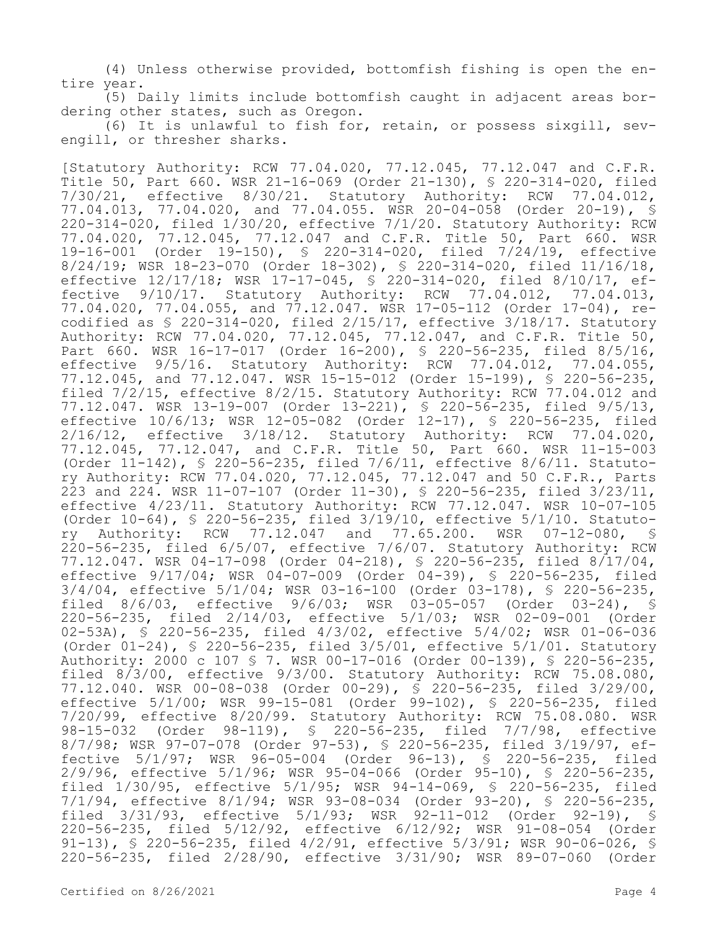(4) Unless otherwise provided, bottomfish fishing is open the entire year.

(5) Daily limits include bottomfish caught in adjacent areas bordering other states, such as Oregon.

(6) It is unlawful to fish for, retain, or possess sixgill, sevengill, or thresher sharks.

[Statutory Authority: RCW 77.04.020, 77.12.045, 77.12.047 and C.F.R. Title 50, Part 660. WSR 21-16-069 (Order 21-130), § 220-314-020, filed 7/30/21, effective 8/30/21. Statutory Authority: RCW 77.04.012, 77.04.013, 77.04.020, and 77.04.055. WSR 20-04-058 (Order 20-19), § 220-314-020, filed 1/30/20, effective 7/1/20. Statutory Authority: RCW 77.04.020, 77.12.045, 77.12.047 and C.F.R. Title 50, Part 660. WSR 19-16-001 (Order 19-150), § 220-314-020, filed 7/24/19, effective 8/24/19; WSR 18-23-070 (Order 18-302), § 220-314-020, filed 11/16/18, effective 12/17/18; WSR 17-17-045, § 220-314-020, filed 8/10/17, effective 9/10/17. Statutory Authority: RCW 77.04.012, 77.04.013, 77.04.020, 77.04.055, and 77.12.047. WSR 17-05-112 (Order 17-04), recodified as § 220-314-020, filed 2/15/17, effective 3/18/17. Statutory Authority: RCW 77.04.020, 77.12.045, 77.12.047, and C.F.R. Title 50, Part 660. WSR 16-17-017 (Order 16-200), § 220-56-235, filed 8/5/16, effective 9/5/16. Statutory Authority: RCW 77.04.012, 77.04.055, 77.12.045, and 77.12.047. WSR 15-15-012 (Order 15-199), § 220-56-235, filed 7/2/15, effective 8/2/15. Statutory Authority: RCW 77.04.012 and 77.12.047. WSR 13-19-007 (Order 13-221), § 220-56-235, filed 9/5/13, effective 10/6/13; WSR 12-05-082 (Order 12-17), § 220-56-235, filed 2/16/12, effective 3/18/12. Statutory Authority: RCW 77.04.020, 77.12.045, 77.12.047, and C.F.R. Title 50, Part 660. WSR 11-15-003 (Order 11-142), § 220-56-235, filed 7/6/11, effective 8/6/11. Statutory Authority: RCW 77.04.020, 77.12.045, 77.12.047 and 50 C.F.R., Parts 223 and 224. WSR 11-07-107 (Order 11-30), § 220-56-235, filed 3/23/11, effective 4/23/11. Statutory Authority: RCW 77.12.047. WSR 10-07-105 (Order 10-64), § 220-56-235, filed 3/19/10, effective 5/1/10. Statutory Authority: RCW 77.12.047 and 77.65.200. WSR 07-12-080, § 220-56-235, filed 6/5/07, effective 7/6/07. Statutory Authority: RCW 77.12.047. WSR 04-17-098 (Order 04-218), § 220-56-235, filed 8/17/04, effective 9/17/04; WSR 04-07-009 (Order 04-39), § 220-56-235, filed 3/4/04, effective 5/1/04; WSR 03-16-100 (Order 03-178), § 220-56-235, filed 8/6/03, effective 9/6/03; WSR 03-05-057 (Order 03-24), § 220-56-235, filed 2/14/03, effective 5/1/03; WSR 02-09-001 (Order 02-53A), § 220-56-235, filed 4/3/02, effective 5/4/02; WSR 01-06-036 (Order 01-24), § 220-56-235, filed 3/5/01, effective 5/1/01. Statutory Authority: 2000 c 107 § 7. WSR 00-17-016 (Order 00-139), § 220-56-235, filed 8/3/00, effective 9/3/00. Statutory Authority: RCW 75.08.080, 77.12.040. WSR 00-08-038 (Order 00-29), § 220-56-235, filed 3/29/00, effective 5/1/00; WSR 99-15-081 (Order 99-102), § 220-56-235, filed 7/20/99, effective 8/20/99. Statutory Authority: RCW 75.08.080. WSR 98-15-032 (Order 98-119), § 220-56-235, filed 7/7/98, effective 8/7/98; WSR 97-07-078 (Order 97-53), § 220-56-235, filed 3/19/97, effective 5/1/97; WSR 96-05-004 (Order 96-13), § 220-56-235, filed 2/9/96, effective 5/1/96; WSR 95-04-066 (Order 95-10), § 220-56-235, filed 1/30/95, effective 5/1/95; WSR 94-14-069, § 220-56-235, filed 7/1/94, effective 8/1/94; WSR 93-08-034 (Order 93-20), § 220-56-235, filed 3/31/93, effective 5/1/93; WSR 92-11-012 (Order 92-19), § 220-56-235, filed 5/12/92, effective 6/12/92; WSR 91-08-054 (Order 91-13), § 220-56-235, filed 4/2/91, effective 5/3/91; WSR 90-06-026, § 220-56-235, filed 2/28/90, effective 3/31/90; WSR 89-07-060 (Order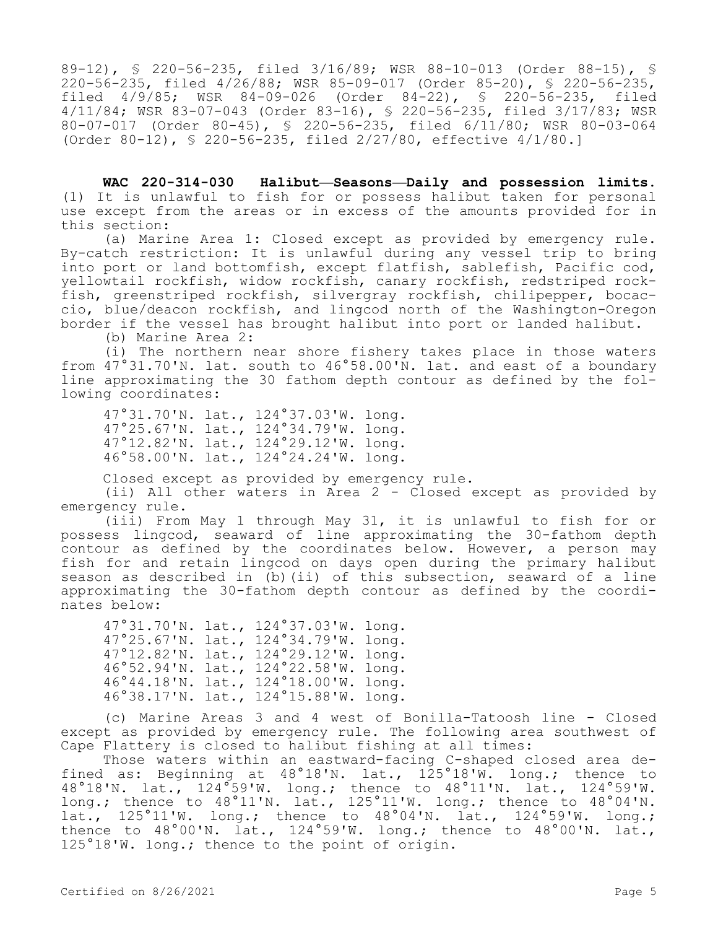89-12), § 220-56-235, filed 3/16/89; WSR 88-10-013 (Order 88-15), § 220-56-235, filed 4/26/88; WSR 85-09-017 (Order 85-20), § 220-56-235, (Order 84-22), § 220-56-235, filed 4/11/84; WSR 83-07-043 (Order 83-16), § 220-56-235, filed 3/17/83; WSR 80-07-017 (Order 80-45), § 220-56-235, filed 6/11/80; WSR 80-03-064 (Order 80-12), § 220-56-235, filed 2/27/80, effective 4/1/80.]

**WAC 220-314-030 Halibut—Seasons—Daily and possession limits.**  (1) It is unlawful to fish for or possess halibut taken for personal use except from the areas or in excess of the amounts provided for in this section:

(a) Marine Area 1: Closed except as provided by emergency rule. By-catch restriction: It is unlawful during any vessel trip to bring into port or land bottomfish, except flatfish, sablefish, Pacific cod, yellowtail rockfish, widow rockfish, canary rockfish, redstriped rockfish, greenstriped rockfish, silvergray rockfish, chilipepper, bocaccio, blue/deacon rockfish, and lingcod north of the Washington-Oregon border if the vessel has brought halibut into port or landed halibut.

(b) Marine Area 2:

(i) The northern near shore fishery takes place in those waters from  $47^{\circ}31.70^{\prime}$ N. lat. south to  $46^{\circ}58.00^{\prime}$ N. lat. and east of a boundary line approximating the 30 fathom depth contour as defined by the following coordinates:

47°31.70'N. lat., 124°37.03'W. long. 47°25.67'N. lat., 124°34.79'W. long. 47°12.82'N. lat., 124°29.12'W. long. 46°58.00'N. lat., 124°24.24'W. long.

Closed except as provided by emergency rule.

(ii) All other waters in Area 2 - Closed except as provided by emergency rule.

(iii) From May 1 through May 31, it is unlawful to fish for or possess lingcod, seaward of line approximating the 30-fathom depth contour as defined by the coordinates below. However, a person may fish for and retain lingcod on days open during the primary halibut season as described in (b)(ii) of this subsection, seaward of a line approximating the 30-fathom depth contour as defined by the coordinates below:

47°31.70'N. lat., 124°37.03'W. long. 47°25.67'N. lat., 124°34.79'W. long. 47°12.82'N. lat., 124°29.12'W. long. 46°52.94'N. lat., 124°22.58'W. long. 46°44.18'N. lat., 124°18.00'W. long. 46°38.17'N. lat., 124°15.88'W. long.

(c) Marine Areas 3 and 4 west of Bonilla-Tatoosh line - Closed except as provided by emergency rule. The following area southwest of Cape Flattery is closed to halibut fishing at all times:

Those waters within an eastward-facing C-shaped closed area defined as: Beginning at 48°18'N. lat., 125°18'W. long.; thence to 48°18'N. lat., 124°59'W. long.; thence to 48°11'N. lat., 124°59'W. long.; thence to 48°11'N. lat., 125°11'W. long.; thence to 48°04'N. lat., 125°11'W. long.; thence to 48°04'N. lat., 124°59'W. long.; thence to 48°00'N. lat., 124°59'W. long.; thence to 48°00'N. lat., 125°18'W. long.; thence to the point of origin.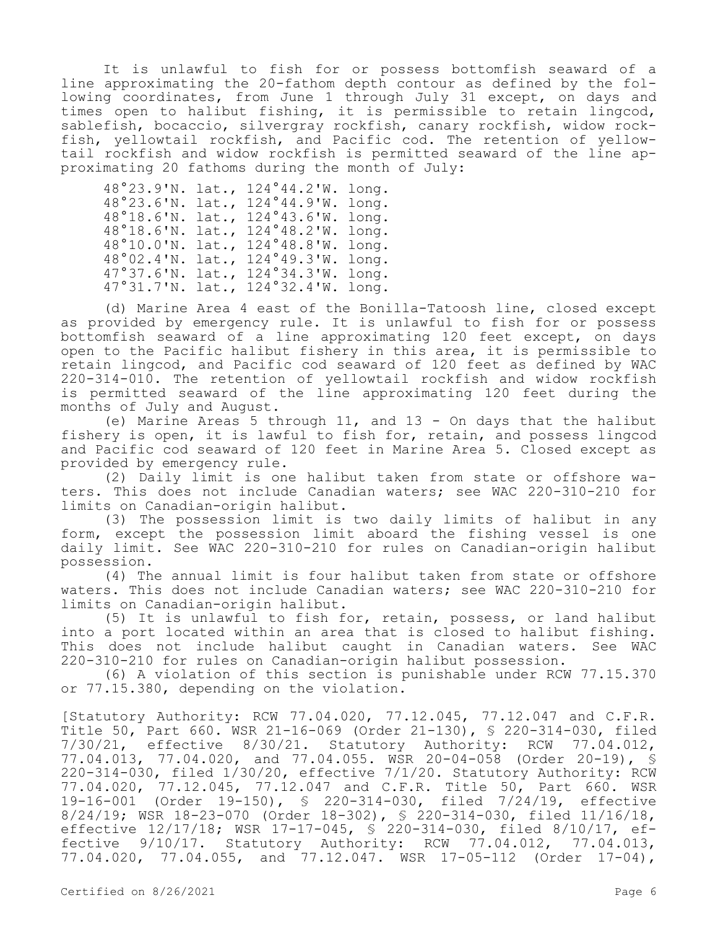It is unlawful to fish for or possess bottomfish seaward of a line approximating the 20-fathom depth contour as defined by the following coordinates, from June 1 through July 31 except, on days and times open to halibut fishing, it is permissible to retain lingcod, sablefish, bocaccio, silvergray rockfish, canary rockfish, widow rockfish, yellowtail rockfish, and Pacific cod. The retention of yellowtail rockfish and widow rockfish is permitted seaward of the line approximating 20 fathoms during the month of July:

48°23.9'N. lat., 124°44.2'W. long. 48°23.6'N. lat., 124°44.9'W. long. 48°18.6'N. lat., 124°43.6'W. long. 48°18.6'N. lat., 124°48.2'W. long. 48°10.0'N. lat., 124°48.8'W. long. 48°02.4'N. lat., 124°49.3'W. long. 47°37.6'N. lat., 124°34.3'W. long. 47°31.7'N. lat., 124°32.4'W. long.

(d) Marine Area 4 east of the Bonilla-Tatoosh line, closed except as provided by emergency rule. It is unlawful to fish for or possess bottomfish seaward of a line approximating 120 feet except, on days open to the Pacific halibut fishery in this area, it is permissible to retain lingcod, and Pacific cod seaward of 120 feet as defined by WAC 220-314-010. The retention of yellowtail rockfish and widow rockfish is permitted seaward of the line approximating 120 feet during the months of July and August.

(e) Marine Areas 5 through 11, and 13 - On days that the halibut fishery is open, it is lawful to fish for, retain, and possess lingcod and Pacific cod seaward of 120 feet in Marine Area 5. Closed except as provided by emergency rule.

(2) Daily limit is one halibut taken from state or offshore waters. This does not include Canadian waters; see WAC 220-310-210 for limits on Canadian-origin halibut.

(3) The possession limit is two daily limits of halibut in any form, except the possession limit aboard the fishing vessel is one daily limit. See WAC 220-310-210 for rules on Canadian-origin halibut possession.

(4) The annual limit is four halibut taken from state or offshore waters. This does not include Canadian waters; see WAC 220-310-210 for limits on Canadian-origin halibut.

(5) It is unlawful to fish for, retain, possess, or land halibut into a port located within an area that is closed to halibut fishing. This does not include halibut caught in Canadian waters. See WAC 220-310-210 for rules on Canadian-origin halibut possession.

(6) A violation of this section is punishable under RCW 77.15.370 or 77.15.380, depending on the violation.

[Statutory Authority: RCW 77.04.020, 77.12.045, 77.12.047 and C.F.R. Title 50, Part 660. WSR 21-16-069 (Order 21-130), § 220-314-030, filed 7/30/21, effective 8/30/21. Statutory Authority: RCW 77.04.012, 77.04.013, 77.04.020, and 77.04.055. WSR 20-04-058 (Order 20-19), § 220-314-030, filed 1/30/20, effective 7/1/20. Statutory Authority: RCW 77.04.020, 77.12.045, 77.12.047 and C.F.R. Title 50, Part 660. WSR<br>19-16-001 (Order 19-150), § 220-314-030, filed 7/24/19, effective 19-16-001 (Order 19-150), § 220-314-030, filed 7/24/19, effective 8/24/19; WSR 18-23-070 (Order 18-302), § 220-314-030, filed 11/16/18, effective 12/17/18; WSR 17-17-045, \$ 220-314-030, filed 8/10/17, effective 9/10/17. Statutory Authority: RCW 77.04.012, 77.04.013, 77.04.020, 77.04.055, and 77.12.047. WSR 17-05-112 (Order 17-04),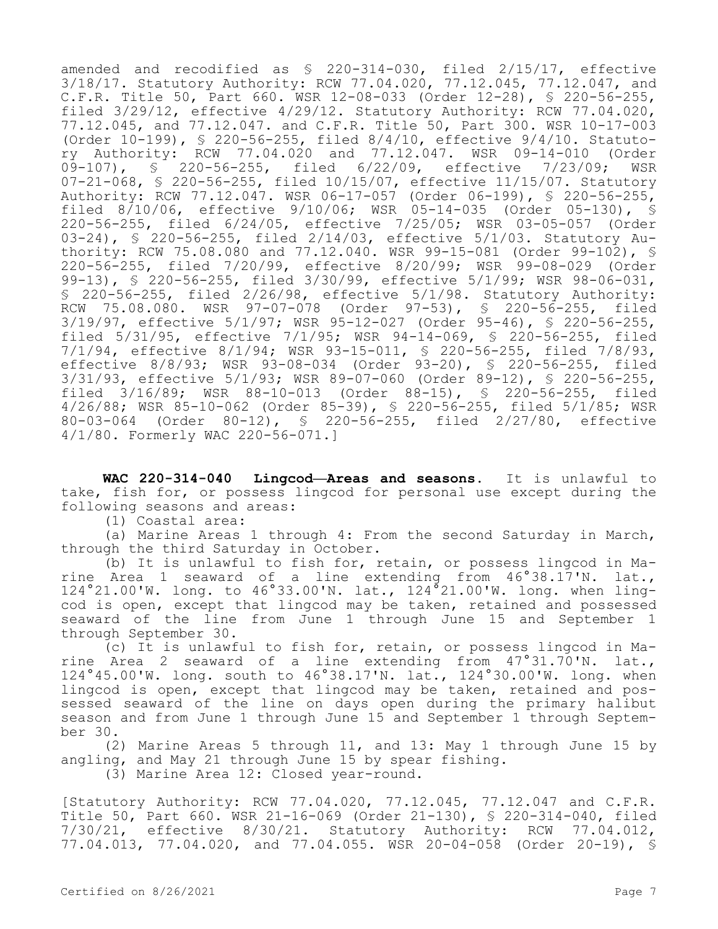amended and recodified as § 220-314-030, filed 2/15/17, effective 3/18/17. Statutory Authority: RCW 77.04.020, 77.12.045, 77.12.047, and C.F.R. Title 50, Part 660. WSR 12-08-033 (Order 12-28), § 220-56-255, filed 3/29/12, effective 4/29/12. Statutory Authority: RCW 77.04.020, 77.12.045, and 77.12.047. and C.F.R. Title 50, Part 300. WSR 10-17-003 (Order 10-199), § 220-56-255, filed 8/4/10, effective 9/4/10. Statutory Authority: RCW 77.04.020 and 77.12.047. WSR 09-14-010 (Order<br>09-107), § 220-56-255, filed 6/22/09, effective 7/23/09; WSR filed  $6/22/09$ , effective  $7/23/09$ ; WSR 07-21-068, § 220-56-255, filed 10/15/07, effective 11/15/07. Statutory Authority: RCW 77.12.047. WSR 06-17-057 (Order 06-199), § 220-56-255, filed 8/10/06, effective 9/10/06; WSR 05-14-035 (Order 05-130), § 220-56-255, filed 6/24/05, effective 7/25/05; WSR 03-05-057 (Order 03-24), § 220-56-255, filed 2/14/03, effective 5/1/03. Statutory Authority: RCW 75.08.080 and 77.12.040. WSR 99-15-081 (Order 99-102), § 220-56-255, filed 7/20/99, effective 8/20/99; WSR 99-08-029 (Order 99-13), § 220-56-255, filed 3/30/99, effective 5/1/99; WSR 98-06-031, § 220-56-255, filed 2/26/98, effective 5/1/98. Statutory Authority:<br>RCW 75.08.080. WSR 97-07-078 (Order 97-53), § 220-56-255, filed RCW 75.08.080. WSR 97-07-078 (Order 97-53), § 220-56-255, 3/19/97, effective 5/1/97; WSR 95-12-027 (Order 95-46), § 220-56-255, filed 5/31/95, effective 7/1/95; WSR 94-14-069, § 220-56-255, filed 7/1/94, effective 8/1/94; WSR 93-15-011, § 220-56-255, filed 7/8/93, effective 8/8/93; WSR 93-08-034 (Order 93-20), § 220-56-255, filed 3/31/93, effective 5/1/93; WSR 89-07-060 (Order 89-12), § 220-56-255, filed 3/16/89; WSR 88-10-013 (Order 88-15), § 220-56-255, filed 4/26/88; WSR 85-10-062 (Order 85-39), § 220-56-255, filed 5/1/85; WSR 80-03-064 (Order 80-12), § 220-56-255, filed 2/27/80, effective 4/1/80. Formerly WAC 220-56-071.]

**WAC 220-314-040 Lingcod—Areas and seasons.** It is unlawful to take, fish for, or possess lingcod for personal use except during the following seasons and areas:

(1) Coastal area:

(a) Marine Areas 1 through 4: From the second Saturday in March, through the third Saturday in October.

(b) It is unlawful to fish for, retain, or possess lingcod in Marine Area 1 seaward of a line extending from 46°38.17'N. lat., 124°21.00'W. long. to 46°33.00'N. lat., 124°21.00'W. long. when lingcod is open, except that lingcod may be taken, retained and possessed seaward of the line from June 1 through June 15 and September 1 through September 30.

(c) It is unlawful to fish for, retain, or possess lingcod in Marine Area 2 seaward of a line extending from 47°31.70'N. lat., 124°45.00'W. long. south to 46°38.17'N. lat., 124°30.00'W. long. when lingcod is open, except that lingcod may be taken, retained and possessed seaward of the line on days open during the primary halibut season and from June 1 through June 15 and September 1 through September 30.

(2) Marine Areas 5 through 11, and 13: May 1 through June 15 by angling, and May 21 through June 15 by spear fishing.

(3) Marine Area 12: Closed year-round.

[Statutory Authority: RCW 77.04.020, 77.12.045, 77.12.047 and C.F.R. Title 50, Part 660. WSR 21-16-069 (Order 21-130), § 220-314-040, filed 7/30/21, effective 8/30/21. Statutory Authority: RCW 77.04.012, 77.04.013, 77.04.020, and 77.04.055. WSR 20-04-058 (Order 20-19), §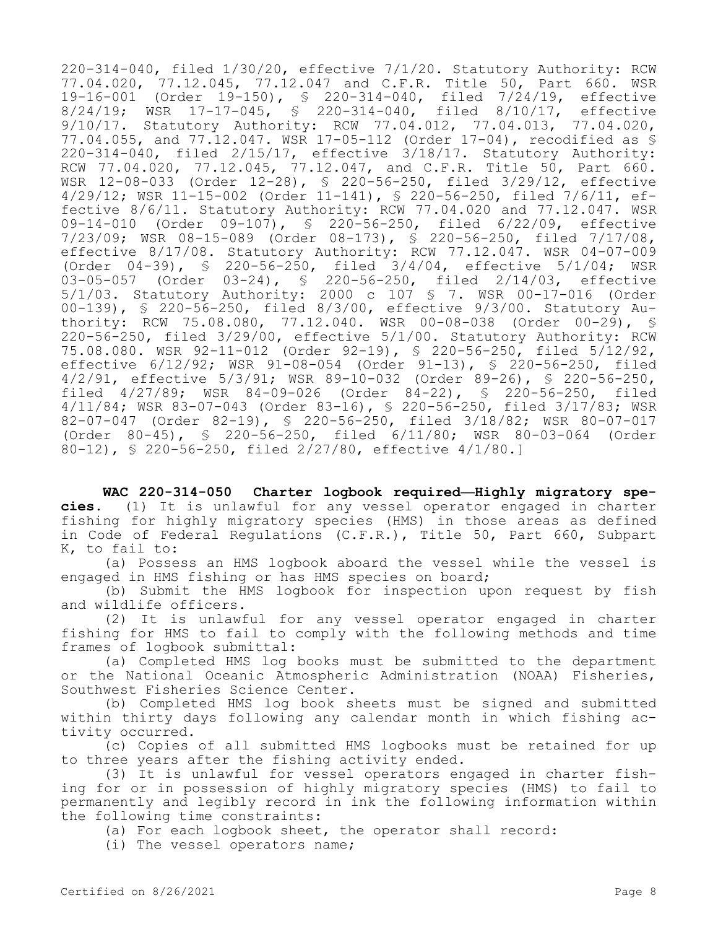220-314-040, filed 1/30/20, effective 7/1/20. Statutory Authority: RCW 77.04.020, 77.12.045, 77.12.047 and C.F.R. Title 50, Part 660. WSR 19-16-001 (Order 19-150), § 220-314-040, filed 7/24/19, effective 8/24/19; WSR 17-17-045, § 220-314-040, filed 8/10/17, effective 9/10/17. Statutory Authority: RCW 77.04.012, 77.04.013, 77.04.020, 77.04.055, and 77.12.047. WSR 17-05-112 (Order 17-04), recodified as § 220-314-040, filed 2/15/17, effective 3/18/17. Statutory Authority: RCW 77.04.020, 77.12.045, 77.12.047, and C.F.R. Title 50, Part 660. WSR 12-08-033 (Order 12-28), § 220-56-250, filed 3/29/12, effective 4/29/12; WSR 11-15-002 (Order 11-141), § 220-56-250, filed 7/6/11, effective 8/6/11. Statutory Authority: RCW 77.04.020 and 77.12.047. WSR 09-14-010 (Order 09-107), § 220-56-250, filed 6/22/09, effective 7/23/09; WSR 08-15-089 (Order 08-173), § 220-56-250, filed 7/17/08, effective 8/17/08. Statutory Authority: RCW 77.12.047. WSR 04-07-009 (Order 04-39), § 220-56-250, filed 3/4/04, effective 5/1/04; WSR 03-05-057 (Order 03-24), § 220-56-250, filed 2/14/03, effective 5/1/03. Statutory Authority: 2000 c 107 § 7. WSR 00-17-016 (Order 00-139), § 220-56-250, filed 8/3/00, effective 9/3/00. Statutory Authority: RCW 75.08.080, 77.12.040. WSR 00-08-038 (Order 00-29), § 220-56-250, filed 3/29/00, effective 5/1/00. Statutory Authority: RCW 75.08.080. WSR 92-11-012 (Order 92-19), § 220-56-250, filed 5/12/92, effective 6/12/92; WSR 91-08-054 (Order 91-13), § 220-56-250, filed 4/2/91, effective 5/3/91; WSR 89-10-032 (Order 89-26), § 220-56-250, filed 4/27/89; WSR 84-09-026 (Order 84-22), § 220-56-250, filed 4/11/84; WSR 83-07-043 (Order 83-16), § 220-56-250, filed 3/17/83; WSR 82-07-047 (Order 82-19), § 220-56-250, filed 3/18/82; WSR 80-07-017 (Order 80-45), § 220-56-250, filed 6/11/80; WSR 80-03-064 (Order 80-12), § 220-56-250, filed 2/27/80, effective 4/1/80.]

**WAC 220-314-050 Charter logbook required—Highly migratory species.** (1) It is unlawful for any vessel operator engaged in charter fishing for highly migratory species (HMS) in those areas as defined in Code of Federal Regulations (C.F.R.), Title 50, Part 660, Subpart K, to fail to:

(a) Possess an HMS logbook aboard the vessel while the vessel is engaged in HMS fishing or has HMS species on board;

(b) Submit the HMS logbook for inspection upon request by fish and wildlife officers.

(2) It is unlawful for any vessel operator engaged in charter fishing for HMS to fail to comply with the following methods and time frames of logbook submittal:

(a) Completed HMS log books must be submitted to the department or the National Oceanic Atmospheric Administration (NOAA) Fisheries, Southwest Fisheries Science Center.

(b) Completed HMS log book sheets must be signed and submitted within thirty days following any calendar month in which fishing activity occurred.

(c) Copies of all submitted HMS logbooks must be retained for up to three years after the fishing activity ended.

(3) It is unlawful for vessel operators engaged in charter fishing for or in possession of highly migratory species (HMS) to fail to permanently and legibly record in ink the following information within the following time constraints:

(a) For each logbook sheet, the operator shall record:

(i) The vessel operators name;